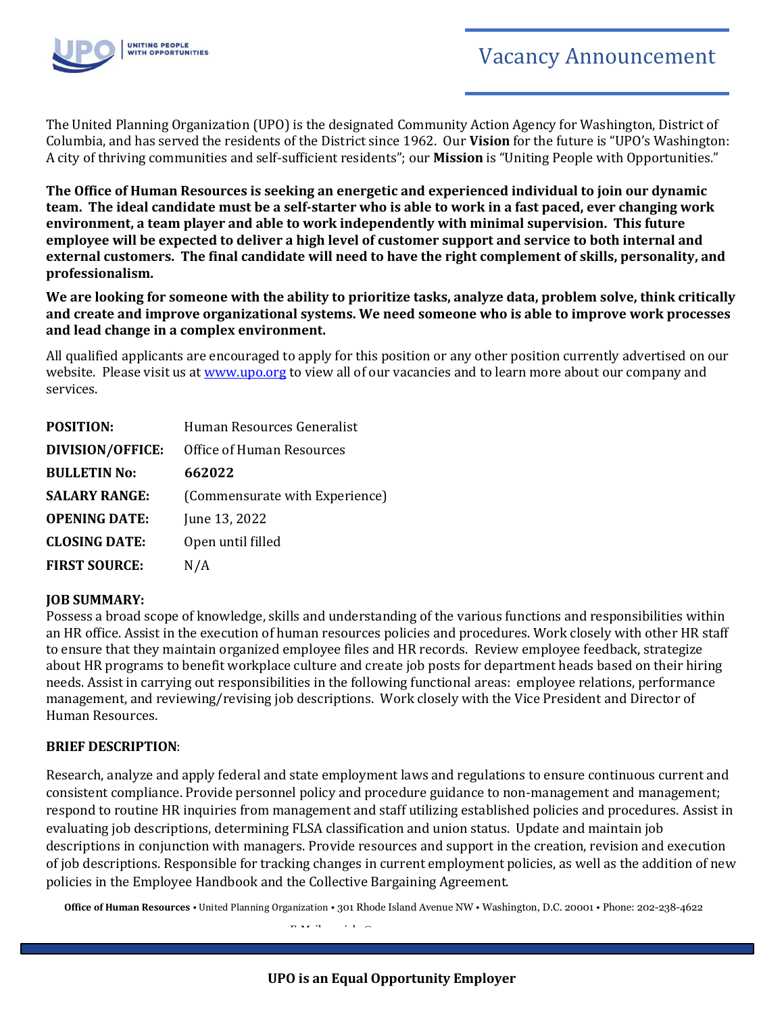

The United Planning Organization (UPO) is the designated Community Action Agency for Washington, District of Columbia, and has served the residents of the District since 1962. Our **Vision** for the future is "UPO's Washington: A city of thriving communities and self-sufficient residents"; our **Mission** is "Uniting People with Opportunities."

**The Office of Human Resources is seeking an energetic and experienced individual to join our dynamic team. The ideal candidate must be a self-starter who is able to work in a fast paced, ever changing work environment, a team player and able to work independently with minimal supervision. This future employee will be expected to deliver a high level of customer support and service to both internal and external customers. The final candidate will need to have the right complement of skills, personality, and professionalism.**

**We are looking for someone with the ability to prioritize tasks, analyze data, problem solve, think critically and create and improve organizational systems. We need someone who is able to improve work processes and lead change in a complex environment.** 

All qualified applicants are encouraged to apply for this position or any other position currently advertised on our website. Please visit us at [www.upo.org](http://www.upo.org/) to view all of our vacancies and to learn more about our company and services.

| <b>POSITION:</b>        | Human Resources Generalist     |
|-------------------------|--------------------------------|
| <b>DIVISION/OFFICE:</b> | Office of Human Resources      |
| <b>BULLETIN No:</b>     | 662022                         |
| <b>SALARY RANGE:</b>    | (Commensurate with Experience) |
| <b>OPENING DATE:</b>    | June 13, 2022                  |
| <b>CLOSING DATE:</b>    | Open until filled              |
| <b>FIRST SOURCE:</b>    | N/A                            |

### **JOB SUMMARY:**

Possess a broad scope of knowledge, skills and understanding of the various functions and responsibilities within an HR office. Assist in the execution of human resources policies and procedures. Work closely with other HR staff to ensure that they maintain organized employee files and HR records. Review employee feedback, strategize about HR programs to benefit workplace culture and create job posts for department heads based on their hiring needs. Assist in carrying out responsibilities in the following functional areas: employee relations, performance management, and reviewing/revising job descriptions. Work closely with the Vice President and Director of Human Resources.

#### **BRIEF DESCRIPTION**:

Research, analyze and apply federal and state employment laws and regulations to ensure continuous current and consistent compliance. Provide personnel policy and procedure guidance to non-management and management; respond to routine HR inquiries from management and staff utilizing established policies and procedures. Assist in evaluating job descriptions, determining FLSA classification and union status. Update and maintain job descriptions in conjunction with managers. Provide resources and support in the creation, revision and execution of job descriptions. Responsible for tracking changes in current employment policies, as well as the addition of new policies in the Employee Handbook and the Collective Bargaining Agreement.

**Office of Human Resources** • United Planning Organization • 301 Rhode Island Avenue NW • Washington, D.C. 20001 • Phone: 202-238-4622 E-Mail: upojobs@upo.org • [www.upo.org](http://www.upo.org/)

**UPO is an Equal Opportunity Employer**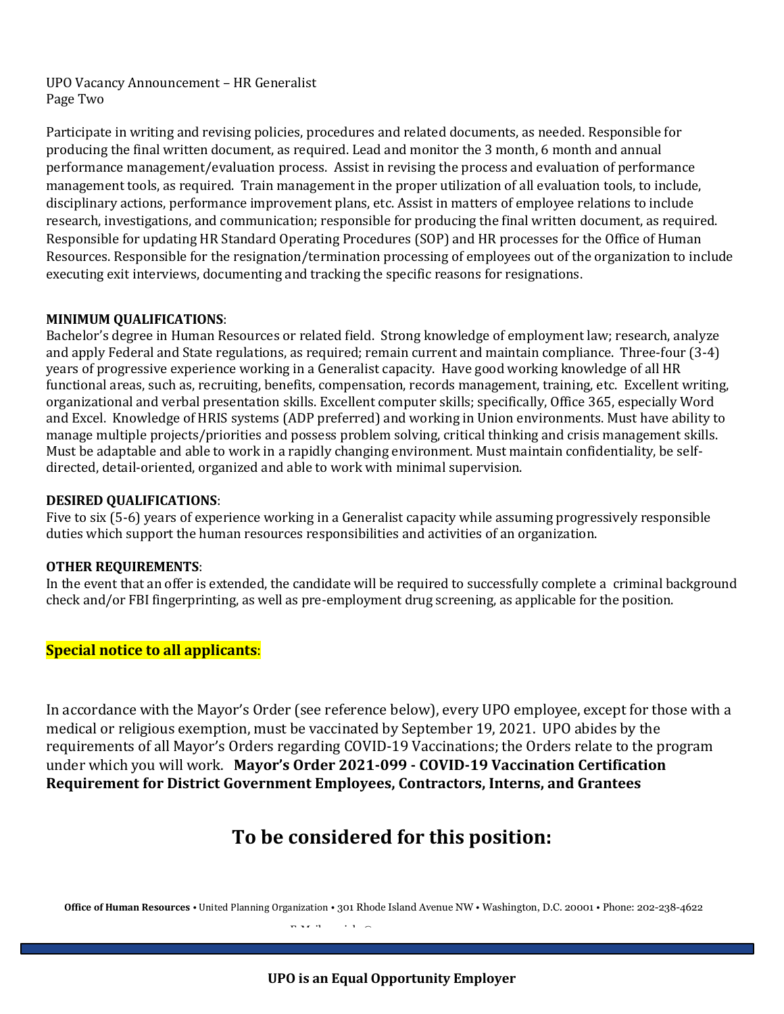UPO Vacancy Announcement – HR Generalist Page Two

Participate in writing and revising policies, procedures and related documents, as needed. Responsible for producing the final written document, as required. Lead and monitor the 3 month, 6 month and annual performance management/evaluation process. Assist in revising the process and evaluation of performance management tools, as required. Train management in the proper utilization of all evaluation tools, to include, disciplinary actions, performance improvement plans, etc. Assist in matters of employee relations to include research, investigations, and communication; responsible for producing the final written document, as required. Responsible for updating HR Standard Operating Procedures (SOP) and HR processes for the Office of Human Resources. Responsible for the resignation/termination processing of employees out of the organization to include executing exit interviews, documenting and tracking the specific reasons for resignations.

#### **MINIMUM QUALIFICATIONS**:

Bachelor's degree in Human Resources or related field. Strong knowledge of employment law; research, analyze and apply Federal and State regulations, as required; remain current and maintain compliance. Three-four (3-4) years of progressive experience working in a Generalist capacity. Have good working knowledge of all HR functional areas, such as, recruiting, benefits, compensation, records management, training, etc. Excellent writing, organizational and verbal presentation skills. Excellent computer skills; specifically, Office 365, especially Word and Excel. Knowledge of HRIS systems (ADP preferred) and working in Union environments. Must have ability to manage multiple projects/priorities and possess problem solving, critical thinking and crisis management skills. Must be adaptable and able to work in a rapidly changing environment. Must maintain confidentiality, be selfdirected, detail-oriented, organized and able to work with minimal supervision.

#### **DESIRED QUALIFICATIONS**:

Five to six (5-6) years of experience working in a Generalist capacity while assuming progressively responsible duties which support the human resources responsibilities and activities of an organization.

#### **OTHER REQUIREMENTS**:

In the event that an offer is extended, the candidate will be required to successfully complete a criminal background check and/or FBI fingerprinting, as well as pre-employment drug screening, as applicable for the position.

## **Special notice to all applicants**:

In accordance with the Mayor's Order (see reference below), every UPO employee, except for those with a medical or religious exemption, must be vaccinated by September 19, 2021. UPO abides by the requirements of all Mayor's Orders regarding COVID-19 Vaccinations; the Orders relate to the program under which you will work. **Mayor's Order 2021-099 - COVID-19 Vaccination Certification Requirement for District Government Employees, Contractors, Interns, and Grantees**

# **To be considered for this position:**

**Office of Human Resources** • United Planning Organization • 301 Rhode Island Avenue NW • Washington, D.C. 20001 • Phone: 202-238-4622 E-Mail: upojobs@upo.org • [www.upo.org](http://www.upo.org/)